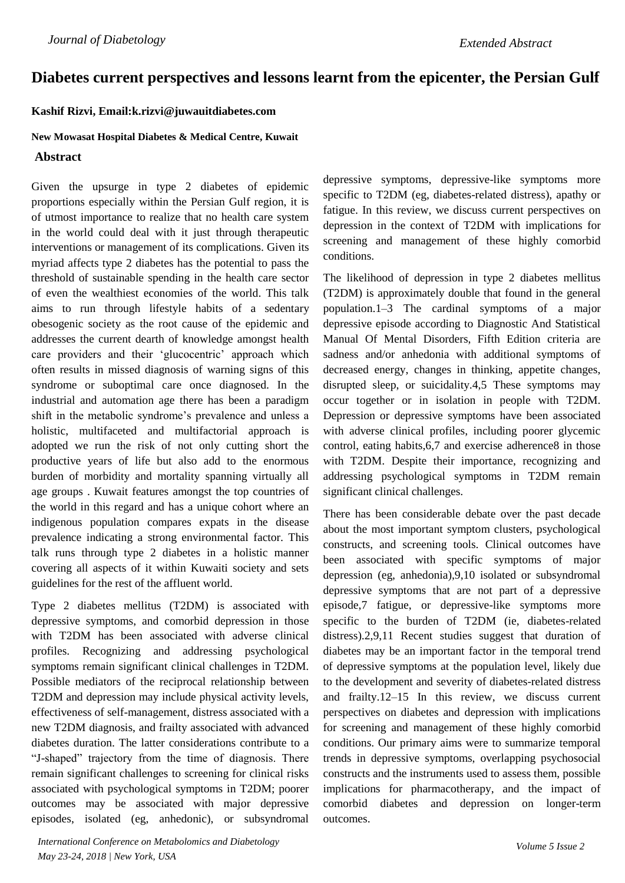# **Diabetes current perspectives and lessons learnt from the epicenter, the Persian Gulf**

### **Kashif Rizvi, Email:k.rizvi@juwauitdiabetes.com**

#### **New Mowasat Hospital Diabetes & Medical Centre, Kuwait**

## **Abstract**

Given the upsurge in type 2 diabetes of epidemic proportions especially within the Persian Gulf region, it is of utmost importance to realize that no health care system in the world could deal with it just through therapeutic interventions or management of its complications. Given its myriad affects type 2 diabetes has the potential to pass the threshold of sustainable spending in the health care sector of even the wealthiest economies of the world. This talk aims to run through lifestyle habits of a sedentary obesogenic society as the root cause of the epidemic and addresses the current dearth of knowledge amongst health care providers and their 'glucocentric' approach which often results in missed diagnosis of warning signs of this syndrome or suboptimal care once diagnosed. In the industrial and automation age there has been a paradigm shift in the metabolic syndrome's prevalence and unless a holistic, multifaceted and multifactorial approach is adopted we run the risk of not only cutting short the productive years of life but also add to the enormous burden of morbidity and mortality spanning virtually all age groups . Kuwait features amongst the top countries of the world in this regard and has a unique cohort where an indigenous population compares expats in the disease prevalence indicating a strong environmental factor. This talk runs through type 2 diabetes in a holistic manner covering all aspects of it within Kuwaiti society and sets guidelines for the rest of the affluent world.

Type 2 diabetes mellitus (T2DM) is associated with depressive symptoms, and comorbid depression in those with T2DM has been associated with adverse clinical profiles. Recognizing and addressing psychological symptoms remain significant clinical challenges in T2DM. Possible mediators of the reciprocal relationship between T2DM and depression may include physical activity levels, effectiveness of self-management, distress associated with a new T2DM diagnosis, and frailty associated with advanced diabetes duration. The latter considerations contribute to a "J-shaped" trajectory from the time of diagnosis. There remain significant challenges to screening for clinical risks associated with psychological symptoms in T2DM; poorer outcomes may be associated with major depressive episodes, isolated (eg, anhedonic), or subsyndromal depressive symptoms, depressive-like symptoms more specific to T2DM (eg, diabetes-related distress), apathy or fatigue. In this review, we discuss current perspectives on depression in the context of T2DM with implications for screening and management of these highly comorbid conditions.

The likelihood of depression in type 2 diabetes mellitus (T2DM) is approximately double that found in the general population.1–3 The cardinal symptoms of a major depressive episode according to Diagnostic And Statistical Manual Of Mental Disorders, Fifth Edition criteria are sadness and/or anhedonia with additional symptoms of decreased energy, changes in thinking, appetite changes, disrupted sleep, or suicidality.4,5 These symptoms may occur together or in isolation in people with T2DM. Depression or depressive symptoms have been associated with adverse clinical profiles, including poorer glycemic control, eating habits,6,7 and exercise adherence8 in those with T2DM. Despite their importance, recognizing and addressing psychological symptoms in T2DM remain significant clinical challenges.

There has been considerable debate over the past decade about the most important symptom clusters, psychological constructs, and screening tools. Clinical outcomes have been associated with specific symptoms of major depression (eg, anhedonia),9,10 isolated or subsyndromal depressive symptoms that are not part of a depressive episode,7 fatigue, or depressive-like symptoms more specific to the burden of T2DM (ie, diabetes-related distress).2,9,11 Recent studies suggest that duration of diabetes may be an important factor in the temporal trend of depressive symptoms at the population level, likely due to the development and severity of diabetes-related distress and frailty.12–15 In this review, we discuss current perspectives on diabetes and depression with implications for screening and management of these highly comorbid conditions. Our primary aims were to summarize temporal trends in depressive symptoms, overlapping psychosocial constructs and the instruments used to assess them, possible implications for pharmacotherapy, and the impact of comorbid diabetes and depression on longer-term outcomes.